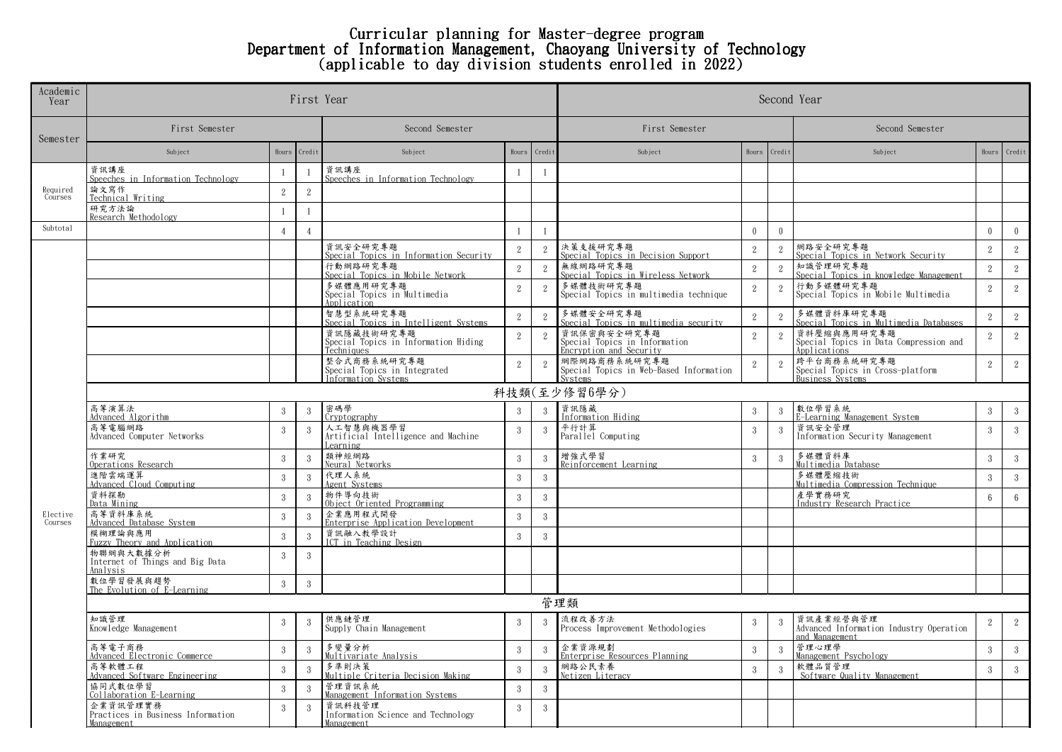## Curricular planning for Master-degree program Department of Information Management, Chaoyang University of Technology (applicable to day division students enrolled in 2022)

| Academic<br>Year    |                                                             | First Year      | Second Year    |                                                                    |                 |                |                                                                         |                 |                             |                                                                            |                 |                |  |  |
|---------------------|-------------------------------------------------------------|-----------------|----------------|--------------------------------------------------------------------|-----------------|----------------|-------------------------------------------------------------------------|-----------------|-----------------------------|----------------------------------------------------------------------------|-----------------|----------------|--|--|
| Semester            | First Semester                                              | Second Semester |                |                                                                    | First Semester  |                |                                                                         | Second Semester |                             |                                                                            |                 |                |  |  |
|                     | Subject                                                     |                 | Hours Credit   | Subject                                                            | Hours Credit    |                | Subject                                                                 | Hours           | Credit                      | Subject                                                                    |                 | Hours Credit   |  |  |
| Required<br>Courses | 資訊講座<br>Speeches in Information Technology                  | -1              |                | 資訊講座<br>Speeches in Information Technology                         | $\mathbf{1}$    | $\overline{1}$ |                                                                         |                 |                             |                                                                            |                 |                |  |  |
|                     | 論文寫作<br>Technical Writing                                   | $\sqrt{2}$      | $\,2$          |                                                                    |                 |                |                                                                         |                 |                             |                                                                            |                 |                |  |  |
|                     | 研究方法論<br>Research Methodology                               | 1               | $\overline{1}$ |                                                                    |                 |                |                                                                         |                 |                             |                                                                            |                 |                |  |  |
| Subtotal            |                                                             | $\overline{4}$  | $\overline{4}$ |                                                                    | $\overline{1}$  | -1             |                                                                         | $\mathbf{0}$    | $\theta$                    |                                                                            | $\theta$        | $\theta$       |  |  |
|                     |                                                             |                 |                | 資訊安全研究專題<br>Special Topics in Information Security                 | 2               | 2              | 決策支援研究專題<br>Special Topics in Decision Support                          | 2               | $\overline{2}$              | 網路安全研究專題<br>Special Topics in Network Security                             | 2               | $\overline{2}$ |  |  |
|                     |                                                             |                 |                | 行動網路研究專題<br>Special Topics in Mobile Network                       | $\sqrt{2}$      | 2              | 無線網路研究專題<br>Special Topics in Wireless Network                          | 2               | $\overline{2}$              | 知識管理研究專題<br>Special Topics in knowledge Management                         | 2               | $2^{\circ}$    |  |  |
|                     |                                                             |                 |                | 多媒體應用研究專題<br>Special Topics in Multimedia<br>Application           | 2               | 2              | 多媒體技術研究專題<br>Special Topics in multimedia technique                     | 2               | $\overline{2}$              | 行動多媒體研究專題<br>Special Topics in Mobile Multimedia                           | 2               | 2              |  |  |
|                     |                                                             |                 |                | 智慧型系統研究專題<br>Special Topics in Intelligent Systems                 | $\overline{2}$  | 2              | 多媒體安全研究專題<br>Special Topics in multimedia security                      | $\mathbf{2}$    | $\overline{2}$              | 多媒體資料庫研究專題<br>Special Topics in Multimedia Databases                       | $\overline{2}$  | $\overline{2}$ |  |  |
|                     |                                                             |                 |                | 資訊隱藏技術研究專題<br>Special Topics in Information Hiding<br>Techniques   | $\,2\,$         | 2              | 資訊保密與安全研究專題<br>Special Topics in Information<br>Encryption and Security | $\overline{2}$  | 2                           | 資料壓縮與應用研究專題<br>Special Topics in Data Compression and<br>Applications      | 2               | $\overline{2}$ |  |  |
|                     |                                                             |                 |                | 整合式商務系統研究專題<br>Special Topics in Integrated<br>Information Systems | $\overline{2}$  | $\overline{2}$ | 網際網路商務系統研究專題<br>Special Topics in Web-Based Information<br>Svetome      | $\overline{2}$  | 2                           | 跨平台商務系統研究專題<br>Special Topics in Cross-platform<br><b>Business Systems</b> | 2               | $2^{\circ}$    |  |  |
|                     |                                                             |                 |                |                                                                    |                 |                | 科技類(至少修習6學分)                                                            |                 |                             |                                                                            |                 |                |  |  |
|                     | 高等演算法<br>Advanced Algorithm                                 | $\mathbf{3}$    | 3              | 密碼學<br><b>Cryptography</b>                                         | $\mathbf{3}$    | $\mathbf{3}$   | 資訊隱藏<br>Information Hiding                                              | $\mathbf{3}$    | 3                           | 數位學習系統<br>E-Learning Management System                                     | $\mathbf{3}$    | 3              |  |  |
|                     | 高等電腦網路<br>Advanced Computer Networks                        | $\mathbf{3}$    | 3              | 人工智慧與機器學習<br>Artificial Intelligence and Machine<br>Learning       | $\mathbf{3}$    | -3             | 平行計算<br>Parallel Computing                                              | 3               | 3                           | 資訊安全管理<br>Information Security Management                                  | $\mathbf{3}$    | $\mathbf{3}$   |  |  |
|                     | 作業研究<br>Operations Research                                 | $\mathbf{3}$    | 3              | 類神經網路<br>Neural Networks                                           | $\mathbf{3}$    | $\mathbf{3}$   | 增強式學習<br>Reinforcement Learning                                         | $\mathbf{3}$    | 3                           | 多媒體資料庫<br>Multimedia Database                                              | 3               | 3 <sup>1</sup> |  |  |
|                     | 進階雲端運算<br>Advanced Cloud Computing                          | $\overline{3}$  | 3              | 代理人系統<br>Agent Systems                                             | $\overline{3}$  | -3             |                                                                         |                 |                             | 多媒體壓縮技術<br>Multimedia Compression Technique                                | 3               | $\mathbf{3}$   |  |  |
|                     | 資料探勘<br>Data Mining                                         | $\mathbf{3}$    | 3              | 物件導向技術<br>Object Oriented Programming                              | $\mathbf{3}$    | -3             |                                                                         |                 |                             | 產學實務研究<br>Industry Research Practice                                       | $6\overline{6}$ | 6              |  |  |
| Elective<br>Courses | 高等資料庫系統<br>Advanced Database System                         | 3               | 3              | 企業應用程式開發<br>Enterprise Application Development                     | $\overline{3}$  | $\overline{3}$ |                                                                         |                 |                             |                                                                            |                 |                |  |  |
|                     | 模糊理論與應用<br>Fuzzy Theory and Application                     | $3\phantom{.0}$ | 3              | 資訊融入教學設計<br>ICT in Teaching Design                                 | $\overline{3}$  | $\mathbf{3}$   |                                                                         |                 |                             |                                                                            |                 |                |  |  |
|                     | 物聯網與大數據分析<br>Internet of Things and Big Data<br>Analysis    | 3               | 3              |                                                                    |                 |                |                                                                         |                 |                             |                                                                            |                 |                |  |  |
|                     | 數位學習發展與趨勢<br>The Evolution of E-Learning                    | $\mathbf{3}$    | 3              |                                                                    |                 |                |                                                                         |                 |                             |                                                                            |                 |                |  |  |
|                     | 管理類                                                         |                 |                |                                                                    |                 |                |                                                                         |                 |                             |                                                                            |                 |                |  |  |
|                     | 知識管理<br>Knowledge Management                                | 3               | 3              | 供應鏈管理<br>Supply Chain Management                                   | 3               | 3              | 流程改善方法<br>Process Improvement Methodologies                             | 3               | $\mathcal{S}_{\mathcal{S}}$ | 資訊產業經營與管理<br>Advanced Information Industry Operation<br>and Management     | 2               | $2^{\circ}$    |  |  |
|                     | 高等電子商務<br>Advanced Electronic Commerce                      | $\mathbf{3}$    | 3              | 多變量分析<br>Multivariate Analysis                                     | $3\phantom{.0}$ | -3             | 企業資源規劃<br>Enterprise Resources Planning                                 | $\mathbf{3}$    | $3\phantom{.0}$             | 管理心理學<br>Management Psychology                                             | $\mathbf{3}$    | $\mathbf{3}$   |  |  |
|                     | 高等軟體工程<br>Advanced Software Engineering                     | $\mathbf{3}$    | 3              | 多準則決策<br>Multiple Criteria Decision Making                         | $\overline{3}$  | $\mathbf{3}$   | 網路公民素養<br>Netizen Literacy                                              | $\overline{3}$  | 3                           | 軟體品質管理<br>Software Quality Management                                      | $\overline{3}$  | $\mathbf{3}$   |  |  |
|                     | 協同式數位學習<br>Collaboration E-Learning                         | $\mathbf{3}$    | 3              | 管理資訊系統<br>Management Information Systems                           | $\mathbf{3}$    | $\overline{3}$ |                                                                         |                 |                             |                                                                            |                 |                |  |  |
|                     | 企業資訊管理實務<br>Practices in Business Information<br>Management | 3               | $\mathcal{R}$  | 資訊科技管理<br>Information Science and Technology<br>Management         | $\mathbf{3}$    | $\mathbf{3}$   |                                                                         |                 |                             |                                                                            |                 |                |  |  |